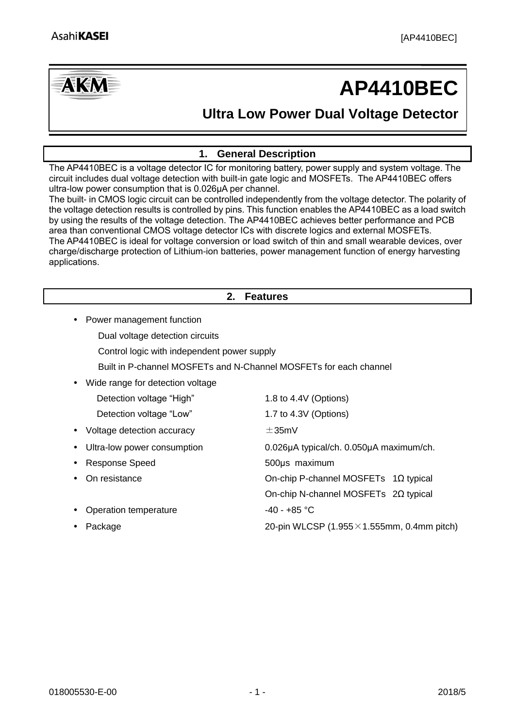

# **AP4410BEC**

## **Ultra Low Power Dual Voltage Detector**

#### **1. General Description**

<span id="page-0-0"></span>The AP4410BEC is a voltage detector IC for monitoring battery, power supply and system voltage. The circuit includes dual voltage detection with built-in gate logic and MOSFETs. The AP4410BEC offers ultra-low power consumption that is 0.026μA per channel.

The built- in CMOS logic circuit can be controlled independently from the voltage detector. The polarity of the voltage detection results is controlled by pins. This function enables the AP4410BEC as a load switch by using the results of the voltage detection. The AP4410BEC achieves better performance and PCB area than conventional CMOS voltage detector ICs with discrete logics and external MOSFETs. The AP4410BEC is ideal for voltage conversion or load switch of thin and small wearable devices, over charge/discharge protection of Lithium-ion batteries, power management function of energy harvesting applications.

#### **2. Features**

- <span id="page-0-1"></span>• Power management function
	- Dual voltage detection circuits
	- Control logic with independent power supply
	- Built in P-channel MOSFETs and N-Channel MOSFETs for each channel
- Wide range for detection voltage

|           | Detection voltage "High"     | 1.8 to 4.4V (Options)                               |
|-----------|------------------------------|-----------------------------------------------------|
|           | Detection voltage "Low"      | 1.7 to 4.3V (Options)                               |
|           | • Voltage detection accuracy | $\pm$ 35mV                                          |
| $\bullet$ | Ultra-low power consumption  | 0.026µA typical/ch. 0.050µA maximum/ch.             |
| $\bullet$ | Response Speed               | 500us maximum                                       |
|           | • On resistance              | On-chip P-channel MOSFETs $1\Omega$ typical         |
|           |                              | On-chip N-channel MOSFETs $2\Omega$ typical         |
|           | • Operation temperature      | $-40 - +85$ °C                                      |
|           | Package                      | 20-pin WLCSP $(1.955 \times 1.555$ mm, 0.4mm pitch) |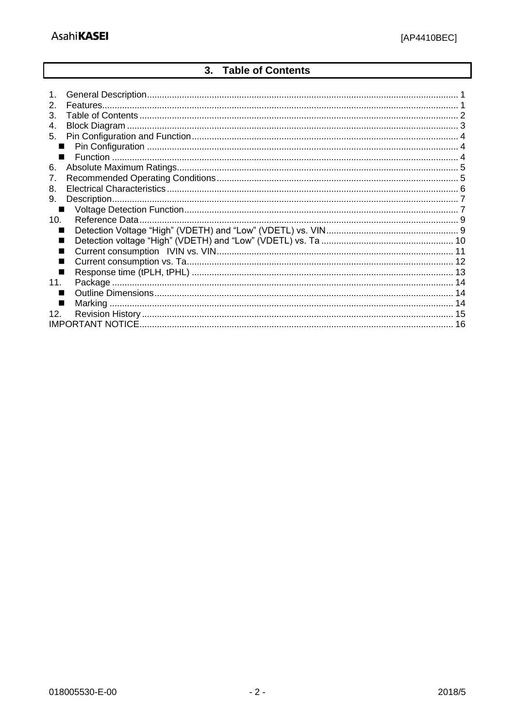#### **Table of Contents**  $3.$

<span id="page-1-0"></span>

| $\mathcal{P}$           |  |
|-------------------------|--|
| 3.                      |  |
| 4.                      |  |
| 5.                      |  |
|                         |  |
|                         |  |
| 6.                      |  |
| 7.                      |  |
| 8.                      |  |
| 9.                      |  |
|                         |  |
| 10.                     |  |
|                         |  |
|                         |  |
|                         |  |
|                         |  |
|                         |  |
| 11.                     |  |
|                         |  |
|                         |  |
| 12.                     |  |
| <b>IMPORTANT NOTICE</b> |  |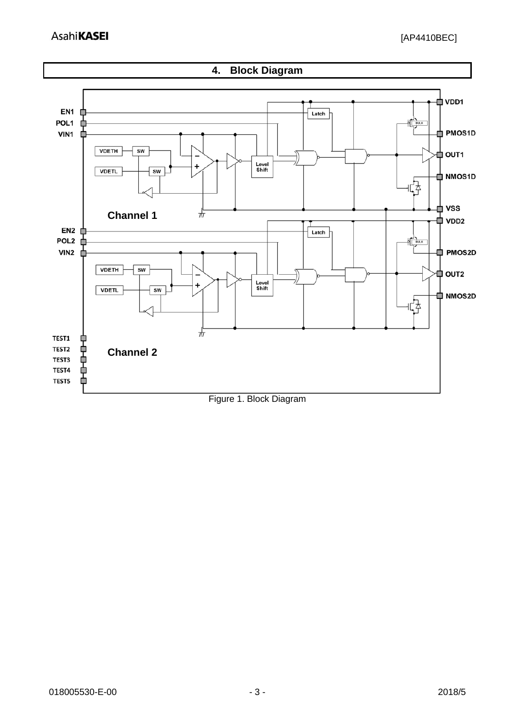<span id="page-2-0"></span>

Figure 1. Block Diagram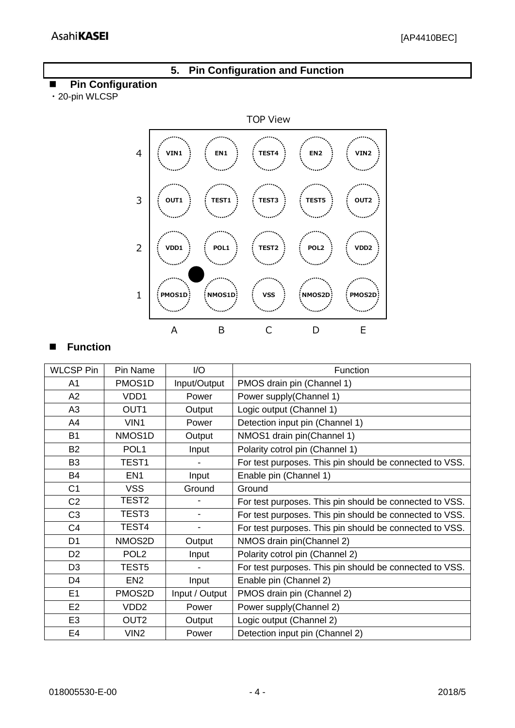#### **5. Pin Configuration and Function**

#### <span id="page-3-1"></span><span id="page-3-0"></span>**Pin Configuration**

・20-pin WLCSP



#### <span id="page-3-2"></span>**Function**

| <b>WLCSP Pin</b> | Pin Name          | I/O            | Function                                                |
|------------------|-------------------|----------------|---------------------------------------------------------|
| A <sub>1</sub>   | PMOS1D            | Input/Output   | PMOS drain pin (Channel 1)                              |
| A2               | VDD1              | Power          | Power supply(Channel 1)                                 |
| A <sub>3</sub>   | OUT <sub>1</sub>  | Output         | Logic output (Channel 1)                                |
| A4               | VIN1              | Power          | Detection input pin (Channel 1)                         |
| <b>B1</b>        | NMOS1D            | Output         | NMOS1 drain pin(Channel 1)                              |
| <b>B2</b>        | POL <sub>1</sub>  | Input          | Polarity cotrol pin (Channel 1)                         |
| B <sub>3</sub>   | TEST1             |                | For test purposes. This pin should be connected to VSS. |
| <b>B4</b>        | EN <sub>1</sub>   | Input          | Enable pin (Channel 1)                                  |
| C <sub>1</sub>   | <b>VSS</b>        | Ground         | Ground                                                  |
| C <sub>2</sub>   | TEST2             |                | For test purposes. This pin should be connected to VSS. |
| C <sub>3</sub>   | TEST <sub>3</sub> | -              | For test purposes. This pin should be connected to VSS. |
| C <sub>4</sub>   | TEST4             | $\blacksquare$ | For test purposes. This pin should be connected to VSS. |
| D <sub>1</sub>   | NMOS2D            | Output         | NMOS drain pin(Channel 2)                               |
| D <sub>2</sub>   | POL <sub>2</sub>  | Input          | Polarity cotrol pin (Channel 2)                         |
| D <sub>3</sub>   | TEST <sub>5</sub> |                | For test purposes. This pin should be connected to VSS. |
| D <sub>4</sub>   | EN <sub>2</sub>   | Input          | Enable pin (Channel 2)                                  |
| E1               | PMOS2D            | Input / Output | PMOS drain pin (Channel 2)                              |
| E <sub>2</sub>   | VDD <sub>2</sub>  | Power          | Power supply(Channel 2)                                 |
| E <sub>3</sub>   | OUT <sub>2</sub>  | Output         | Logic output (Channel 2)                                |
| E <sub>4</sub>   | VIN <sub>2</sub>  | Power          | Detection input pin (Channel 2)                         |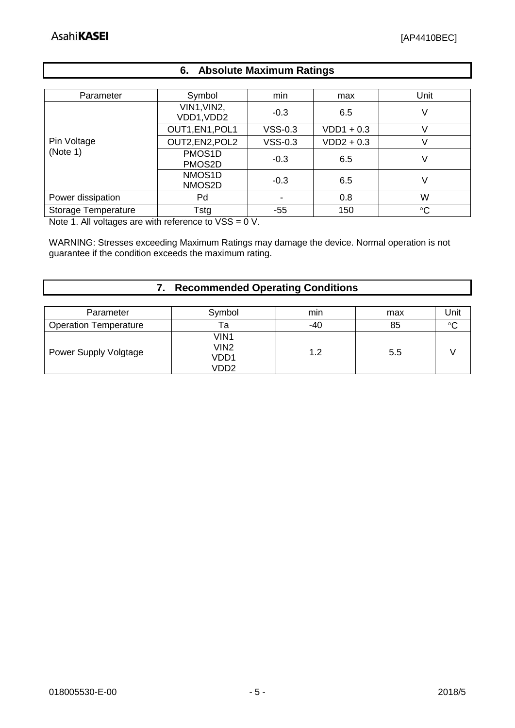#### **6. Absolute Maximum Ratings**

<span id="page-4-0"></span>

| Parameter                  | Symbol                    | min       | max          | Unit            |
|----------------------------|---------------------------|-----------|--------------|-----------------|
|                            | VIN1, VIN2,<br>VDD1, VDD2 | $-0.3$    | 6.5          | V               |
|                            | OUT1, EN1, POL1           | $VSS-0.3$ | $VDD1 + 0.3$ |                 |
| Pin Voltage                | OUT2, EN2, POL2           | $VSS-0.3$ | $VDD2 + 0.3$ |                 |
| (Note 1)                   | PMOS1D<br>PMOS2D          | $-0.3$    | 6.5          |                 |
|                            | NMOS1D<br>NMOS2D          | $-0.3$    | 6.5          |                 |
| Power dissipation          | Pd                        |           | 0.8          | W               |
| <b>Storage Temperature</b> | Tstg                      | -55       | 150          | $\rm ^{\circ}C$ |

Note 1. All voltages are with reference to VSS = 0 V.

WARNING: Stresses exceeding Maximum Ratings may damage the device. Normal operation is not guarantee if the condition exceeds the maximum rating.

#### **7. Recommended Operating Conditions**

<span id="page-4-1"></span>

| Parameter                    | Symbol                       | mın   | max | Jnit |
|------------------------------|------------------------------|-------|-----|------|
| <b>Operation Temperature</b> | Га                           | $-40$ | 85  | ∘∩   |
| Power Supply Volgtage        | VIN1<br>VIN2<br>VDD1<br>VDD2 | 1.2   | 5.5 |      |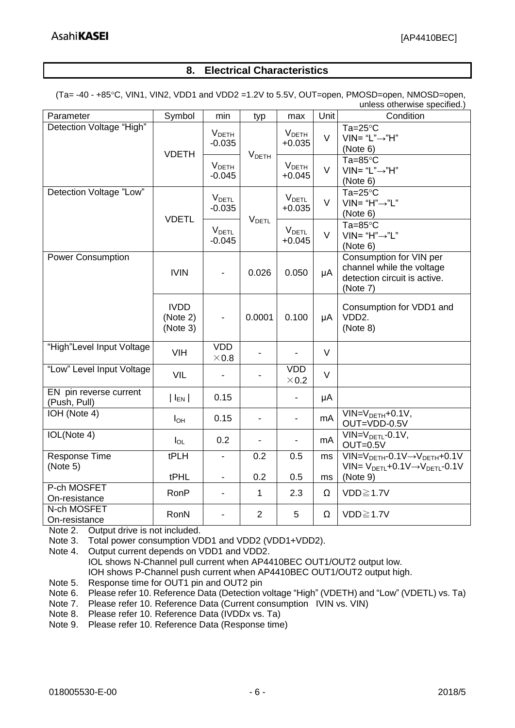#### **8. Electrical Characteristics**

<span id="page-5-0"></span>(Ta= -40 - +85C, VIN1, VIN2, VDD1 and VDD2 =1.2V to 5.5V, OUT=open, PMOSD=open, NMOSD=open,

| unless otherwise specified.)           |                                     |                                      |                          |                                      |          |                                                                                                        |  |
|----------------------------------------|-------------------------------------|--------------------------------------|--------------------------|--------------------------------------|----------|--------------------------------------------------------------------------------------------------------|--|
| Parameter                              | Symbol                              | min                                  | typ                      | max                                  | Unit     | Condition                                                                                              |  |
| Detection Voltage "High"               | <b>VDETH</b>                        | V <sub>DETH</sub><br>$-0.035$        |                          | $V_{\text{DETH}}$<br>$+0.035$        | V        | $Ta=25^{\circ}C$<br>$VIN = "L" \rightarrow "H"$<br>(Note 6)                                            |  |
|                                        |                                     | <b>V</b> <sub>DETH</sub><br>$-0.045$ | V <sub>DETH</sub>        | V <sub>DETH</sub><br>$+0.045$        | $\vee$   | Ta= $85^{\circ}$ C<br>$VIN = "L" \rightarrow "H"$<br>(Note 6)                                          |  |
| Detection Voltage "Low"                | <b>VDETL</b>                        | <b>VDETL</b><br>$-0.035$             |                          | <b>V</b> <sub>DETL</sub><br>$+0.035$ | $\vee$   | $Ta=25^{\circ}C$<br>$VIN = "H" \rightarrow "L"$<br>(Note 6)                                            |  |
|                                        |                                     | <b>V</b> <sub>DETL</sub><br>$-0.045$ | <b>V</b> <sub>DETL</sub> | <b>V</b> <sub>DETL</sub><br>$+0.045$ | $\vee$   | Ta= $85^{\circ}$ C<br>$VIN = "H" \rightarrow "L"$<br>(Note 6)                                          |  |
| <b>Power Consumption</b>               | <b>IVIN</b>                         |                                      | 0.026                    | 0.050                                | μA       | Consumption for VIN per<br>channel while the voltage<br>detection circuit is active.<br>(Note 7)       |  |
|                                        | <b>IVDD</b><br>(Note 2)<br>(Note 3) |                                      | 0.0001                   | 0.100                                | μA       | Consumption for VDD1 and<br>VDD <sub>2</sub> .<br>(Note 8)                                             |  |
| "High"Level Input Voltage              | <b>VIH</b>                          | <b>VDD</b><br>$\times 0.8$           |                          |                                      | $\vee$   |                                                                                                        |  |
| "Low" Level Input Voltage              | VIL                                 |                                      |                          | <b>VDD</b><br>$\times$ 0.2           | $\vee$   |                                                                                                        |  |
| EN pin reverse current<br>(Push, Pull) | $ I_{EN} $                          | 0.15                                 |                          |                                      | μA       |                                                                                                        |  |
| IOH (Note 4)                           | $I_{OH}$                            | 0.15                                 |                          | $\overline{\phantom{0}}$             | mA       | $VIN=VDETH+0.1V,$<br>OUT=VDD-0.5V                                                                      |  |
| IOL(Note 4)                            | $I_{OL}$                            | 0.2                                  |                          | $\blacksquare$                       | mA       | $VIN=VDETL-0.1V$ ,<br>$OUT=0.5V$                                                                       |  |
| Response Time<br>(Note 5)              | tPLH<br>tPHL                        | $\blacksquare$                       | 0.2<br>0.2               | 0.5<br>0.5                           | ms<br>ms | $VIN=VDETH-0.1V \rightarrow VDETH+0.1V$<br>$VIN = VDETL + 0.1 V \rightarrow VDETL - 0.1 V$<br>(Note 9) |  |
| P-ch MOSFET<br>On-resistance           | RonP                                | $\blacksquare$                       | $\mathbf{1}$             | 2.3                                  | $\Omega$ | $VDD \geq 1.7V$                                                                                        |  |
| N-ch MOSFET<br>On-resistance           | RonN                                |                                      | $\overline{2}$           | 5                                    | Ω        | VDD≧1.7V                                                                                               |  |

Note 2. Output drive is not included.

Note 3. Total power consumption VDD1 and VDD2 (VDD1+VDD2).

Note 4. Output current depends on VDD1 and VDD2. IOL shows N-Channel pull current when AP4410BEC OUT1/OUT2 output low. IOH shows P-Channel push current when AP4410BEC OUT1/OUT2 output high.

Note 5. Response time for OUT1 pin and OUT2 pin

Note 6. Please refer 10. Reference Data (Detection voltage "High" (VDETH) and "Low" (VDETL) vs. Ta)

Note 7. Please refer 10. Reference Data (Current consumption IVIN vs. VIN)

Note 8. Please refer 10. Reference Data (IVDDx vs. Ta)

Note 9. Please refer 10. Reference Data (Response time)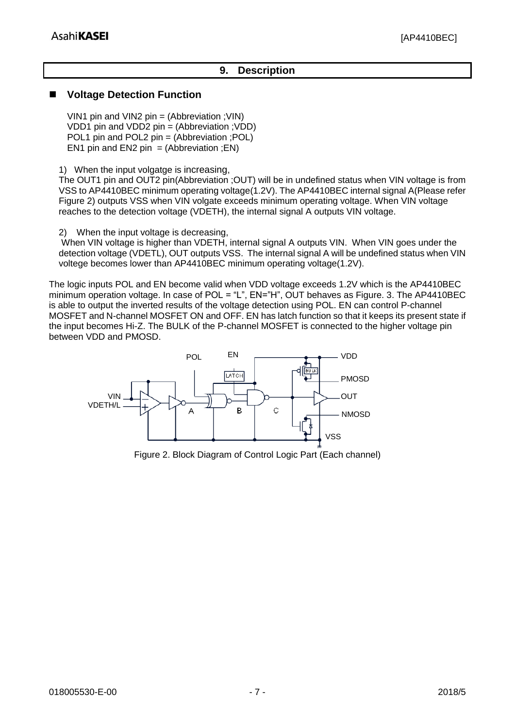#### **9. Description**

#### <span id="page-6-1"></span><span id="page-6-0"></span>**Voltage Detection Function**

VIN1 pin and VIN2 pin = (Abbreviation ;VIN) VDD1 pin and VDD2 pin = (Abbreviation ;VDD) POL1 pin and POL2 pin = (Abbreviation ; POL) EN1 pin and EN2 pin  $=$  (Abbreviation ;EN)

1) When the input volgatge is increasing,

The OUT1 pin and OUT2 pin(Abbreviation ;OUT) will be in undefined status when VIN voltage is from VSS to AP4410BEC minimum operating voltage(1.2V). The AP4410BEC internal signal A(Please refer Figure 2) outputs VSS when VIN volgate exceeds minimum operating voltage. When VIN voltage reaches to the detection voltage (VDETH), the internal signal A outputs VIN voltage.

2) When the input voltage is decreasing,

When VIN voltage is higher than VDETH, internal signal A outputs VIN. When VIN goes under the detection voltage (VDETL), OUT outputs VSS. The internal signal A will be undefined status when VIN voltege becomes lower than AP4410BEC minimum operating voltage(1.2V).

The logic inputs POL and EN become valid when VDD voltage exceeds 1.2V which is the AP4410BEC minimum operation voltage. In case of POL = "L", EN="H", OUT behaves as Figure. 3. The AP4410BEC is able to output the inverted results of the voltage detection using POL. EN can control P-channel MOSFET and N-channel MOSFET ON and OFF. EN has latch function so that it keeps its present state if the input becomes Hi-Z. The BULK of the P-channel MOSFET is connected to the higher voltage pin between VDD and PMOSD.



Figure 2. Block Diagram of Control Logic Part (Each channel)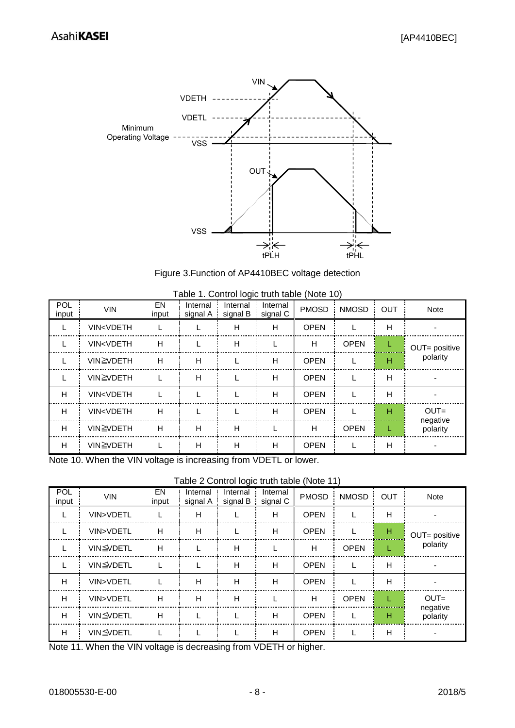

Figure 3.Function of AP4410BEC voltage detection

| POL<br>input | <b>VIN</b>                                                                                                                     | EN<br>input | Internal<br>signal A | Internal<br>signal B | Internal<br>signal C | $1800 - 11$ control to give tradit table (1,1010 To<br><b>PMOSD</b> | <b>NMOSD</b> | <b>OUT</b> | Note                 |
|--------------|--------------------------------------------------------------------------------------------------------------------------------|-------------|----------------------|----------------------|----------------------|---------------------------------------------------------------------|--------------|------------|----------------------|
|              | VIN <vdeth< td=""><td></td><td></td><td>н</td><td>н</td><td><b>OPEN</b></td><td></td><td>н</td><td></td></vdeth<>              |             |                      | н                    | н                    | <b>OPEN</b>                                                         |              | н          |                      |
|              | VIN <vdeth< td=""><td>н</td><td></td><td>н</td><td></td><td>н</td><td><b>OPEN</b></td><td></td><td>OUT= positive</td></vdeth<> | н           |                      | н                    |                      | н                                                                   | <b>OPEN</b>  |            | OUT= positive        |
|              | VIN≧VDETH                                                                                                                      | Н           | н                    |                      | н                    | <b>OPEN</b>                                                         |              | н          | polarity             |
|              | VIN≧VDETH                                                                                                                      |             | Н                    |                      | н                    | <b>OPEN</b>                                                         |              | н          |                      |
| H            | VIN <vdeth< td=""><td></td><td></td><td></td><td>н</td><td><b>OPEN</b></td><td></td><td>н</td><td></td></vdeth<>               |             |                      |                      | н                    | <b>OPEN</b>                                                         |              | н          |                      |
| H            | <b>VIN<vdeth< b=""></vdeth<></b>                                                                                               | Н           |                      |                      | н                    | <b>OPEN</b>                                                         |              | н          | $OUT =$              |
| Н            | VIN≧VDETH                                                                                                                      | Н           | н                    | н                    |                      | н                                                                   | <b>OPEN</b>  |            | negative<br>polarity |
| Н            | VIN≧VDETH                                                                                                                      |             | н                    | н                    | н                    | <b>OPEN</b>                                                         |              | н          |                      |

| Table 1. Control logic truth table (Note 10) |  |  |  |
|----------------------------------------------|--|--|--|

Note 10. When the VIN voltage is increasing from VDETL or lower.

Table 2 Control logic truth table (Note 11)

| POL<br>input | <b>VIN</b>       | EN<br>input | Internal<br>signal A | Internal | Internal<br>signal $B \nvert$ signal C | <b>PMOSD</b> | <b>NMOSD</b> | <b>OUT</b> | Note                 |
|--------------|------------------|-------------|----------------------|----------|----------------------------------------|--------------|--------------|------------|----------------------|
|              | VIN>VDETL        |             | н                    |          | Н                                      | <b>OPEN</b>  |              | н          |                      |
|              | VIN>VDETL        | н           | н                    |          | н                                      | <b>OPEN</b>  |              | н          | OUT= positive        |
|              | VIN≦VDETL        | н           |                      | н        |                                        | н            | <b>OPEN</b>  |            | polarity             |
|              | VIN≦VDETL        |             |                      | н        | н                                      | <b>OPEN</b>  |              | н          |                      |
| H            | VIN>VDETL        |             | Н                    | н        | н                                      | <b>OPEN</b>  |              | н          |                      |
| Н            | VIN>VDETL        | H           | н                    | н        |                                        | н            | <b>OPEN</b>  |            | $OUT =$              |
| H            | VIN≦VDETL        | н           |                      |          | н                                      | <b>OPEN</b>  |              | н          | negative<br>polarity |
| Н            | <b>VIN≦VDETL</b> |             |                      |          | н                                      | <b>OPEN</b>  |              | н          |                      |

Note 11. When the VIN voltage is decreasing from VDETH or higher.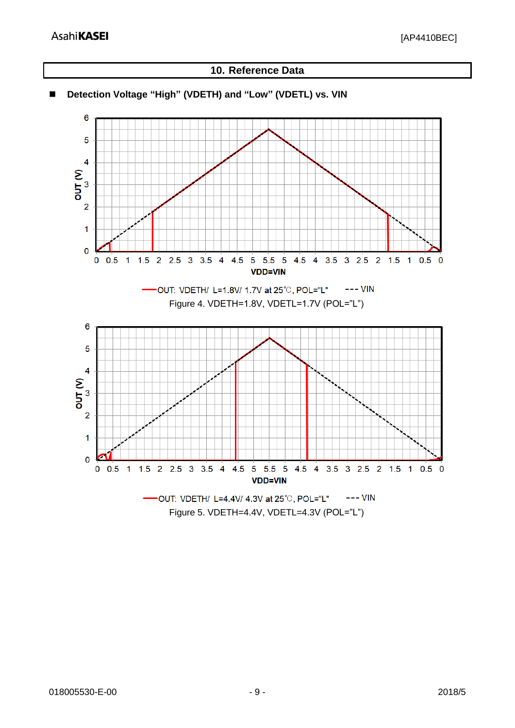

**10. Reference Data**

#### <span id="page-8-1"></span><span id="page-8-0"></span>**Detection Voltage "High" (VDETH) and "Low" (VDETL) vs. VIN**

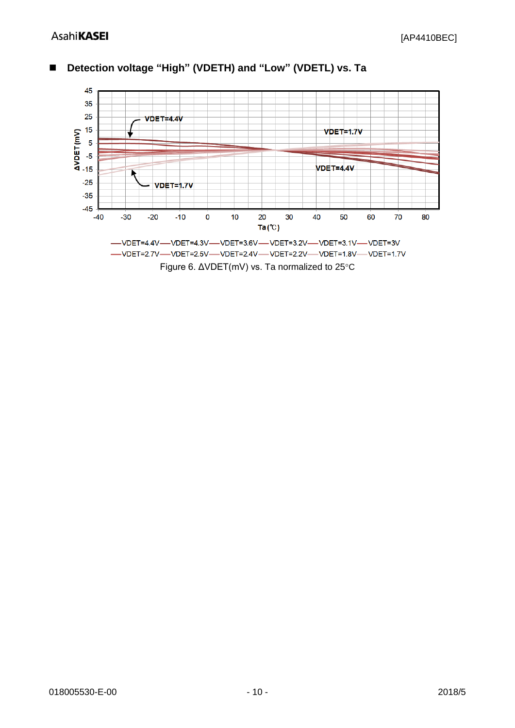

<span id="page-9-0"></span>**Detection voltage "High" (VDETH) and "Low" (VDETL) vs. Ta**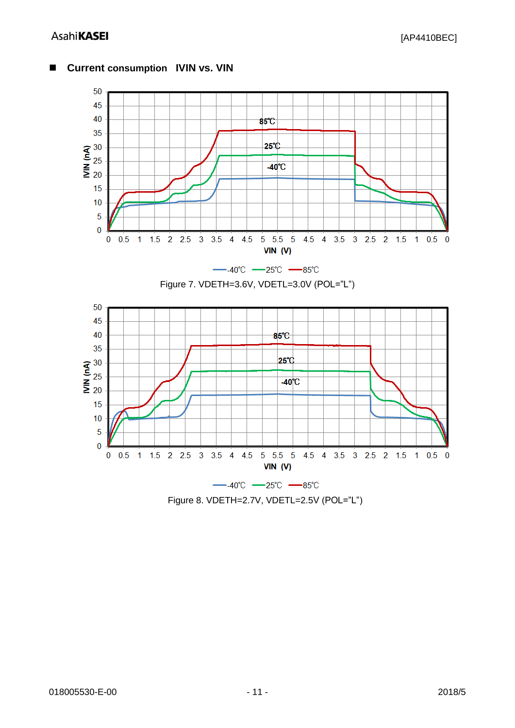

#### <span id="page-10-0"></span>**Current consumption IVIN vs. VIN**

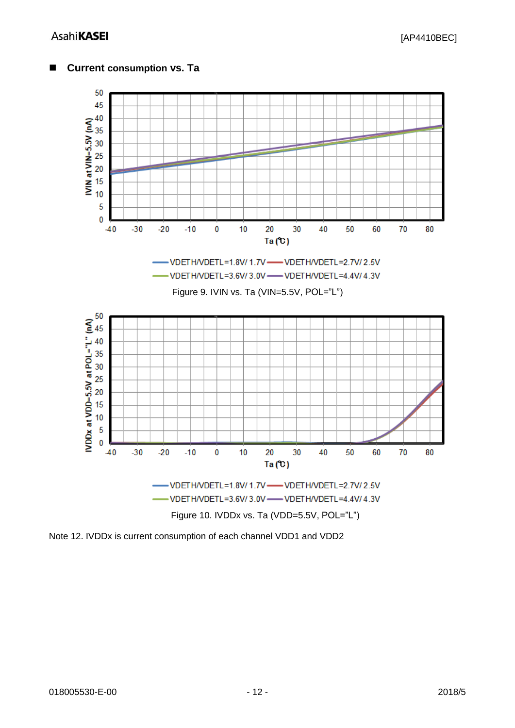

#### <span id="page-11-0"></span>**Current consumption vs. Ta**

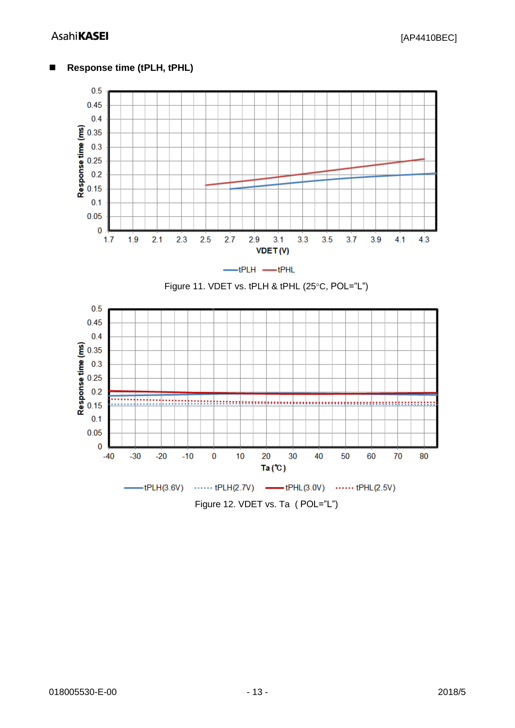### **AsahiKASEI**



#### <span id="page-12-0"></span>■ Response time (tPLH, tPHL)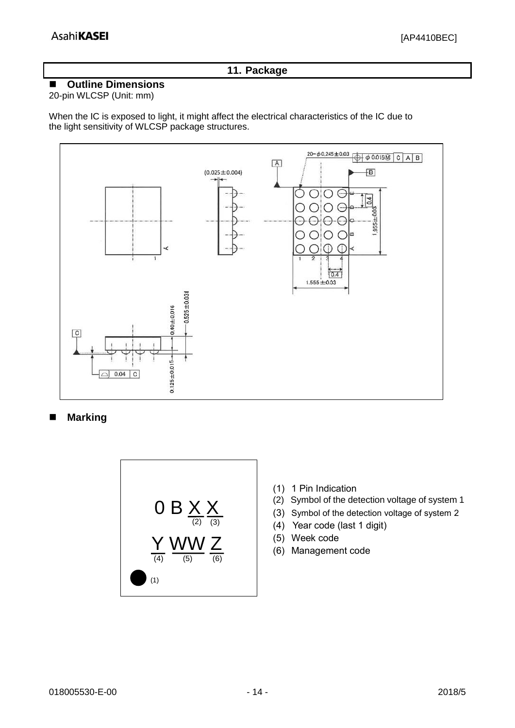#### **11. Package**

#### <span id="page-13-1"></span><span id="page-13-0"></span>**Outline Dimensions**

#### 20-pin WLCSP (Unit: mm)

When the IC is exposed to light, it might affect the electrical characteristics of the IC due to the light sensitivity of WLCSP package structures.



<span id="page-13-2"></span>**Marking**



- (1) 1 Pin Indication
- (2) Symbol of the detection voltage of system 1
- (3) Symbol of the detection voltage of system 2
- (4) Year code (last 1 digit)
- (5) Week code
- (6) Management code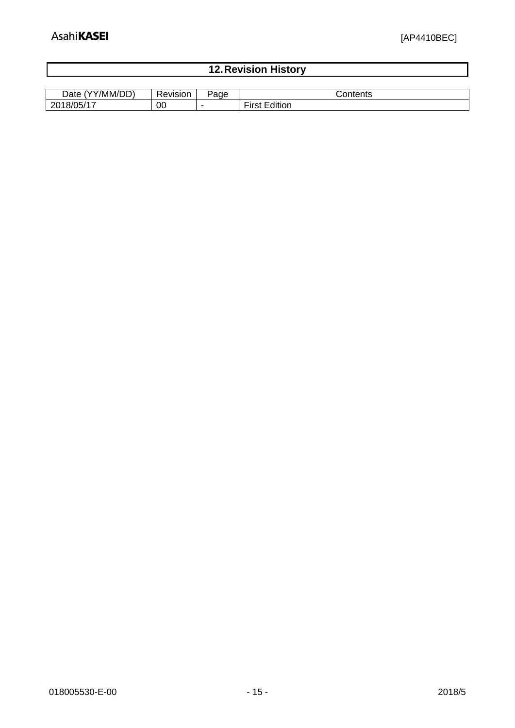<span id="page-14-0"></span>

| <b>12. Revision History</b> |  |
|-----------------------------|--|
|                             |  |
|                             |  |

| $\sim$ $\sim$ $\sim$<br>/MM/I<br>Date | $\sqrt{2}$<br>SK. | ade<br>×.                | .                                                                |
|---------------------------------------|-------------------|--------------------------|------------------------------------------------------------------|
| 201<br>∠∪                             | 00                | $\overline{\phantom{a}}$ | $\overline{\phantom{a}}$<br>.<br>.<br>$\sim$<br>aition<br>11 J L |